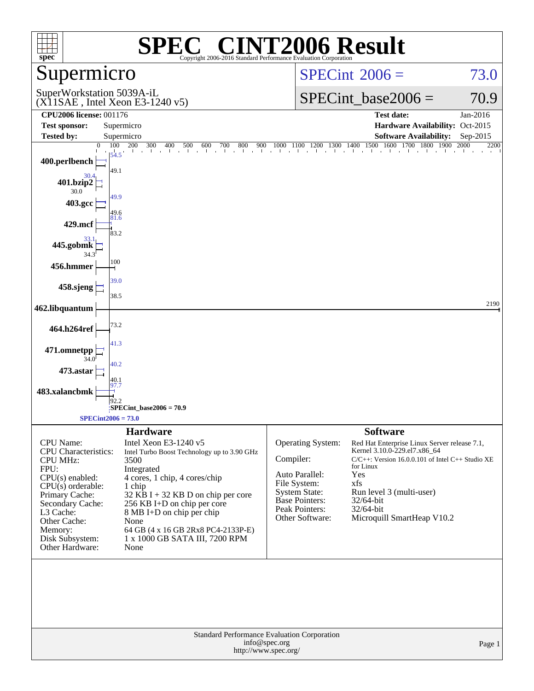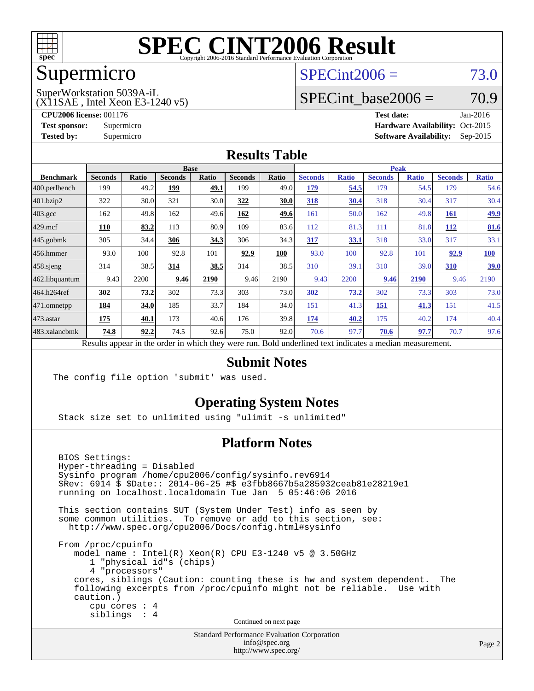

## Supermicro

#### $SPECint2006 = 73.0$  $SPECint2006 = 73.0$

(X11SAE , Intel Xeon E3-1240 v5) SuperWorkstation 5039A-iL

SPECint base2006 =  $70.9$ 

**[CPU2006 license:](http://www.spec.org/auto/cpu2006/Docs/result-fields.html#CPU2006license)** 001176 **[Test date:](http://www.spec.org/auto/cpu2006/Docs/result-fields.html#Testdate)** Jan-2016 **[Test sponsor:](http://www.spec.org/auto/cpu2006/Docs/result-fields.html#Testsponsor)** Supermicro Supermicro **[Hardware Availability:](http://www.spec.org/auto/cpu2006/Docs/result-fields.html#HardwareAvailability)** Oct-2015 **[Tested by:](http://www.spec.org/auto/cpu2006/Docs/result-fields.html#Testedby)** Supermicro **Supermicro [Software Availability:](http://www.spec.org/auto/cpu2006/Docs/result-fields.html#SoftwareAvailability)** Sep-2015

#### **[Results Table](http://www.spec.org/auto/cpu2006/Docs/result-fields.html#ResultsTable)**

|                                                                                                          | <b>Base</b>    |       |                |       |                | <b>Peak</b>  |                |              |                |              |                |              |
|----------------------------------------------------------------------------------------------------------|----------------|-------|----------------|-------|----------------|--------------|----------------|--------------|----------------|--------------|----------------|--------------|
| <b>Benchmark</b>                                                                                         | <b>Seconds</b> | Ratio | <b>Seconds</b> | Ratio | <b>Seconds</b> | <b>Ratio</b> | <b>Seconds</b> | <b>Ratio</b> | <b>Seconds</b> | <b>Ratio</b> | <b>Seconds</b> | <b>Ratio</b> |
| $ 400.\text{perlbench}$                                                                                  | 199            | 49.2  | 199            | 49.1  | 199            | 49.0         | 179            | 54.5         | 179            | 54.5         | 179            | 54.6         |
| 401.bzip2                                                                                                | 322            | 30.0  | 321            | 30.0  | 322            | 30.0         | 318            | 30.4         | 318            | 30.4         | 317            | 30.4         |
| $403.\text{gcc}$                                                                                         | 162            | 49.8  | 162            | 49.6  | 162            | 49.6         | 161            | 50.0         | 162            | 49.8         | 161            | <u>49.9</u>  |
| $429$ mcf                                                                                                | 110            | 83.2  | 113            | 80.9  | 109            | 83.6         | 112            | 81.3         | 111            | 81.8         | 112            | 81.6         |
| $445$ .gobmk                                                                                             | 305            | 34.4  | 306            | 34.3  | 306            | 34.3         | 317            | 33.1         | 318            | 33.0         | 317            | 33.1         |
| $ 456$ .hmmer                                                                                            | 93.0           | 100   | 92.8           | 101   | 92.9           | 100          | 93.0           | 100          | 92.8           | 101          | 92.9           | <b>100</b>   |
| $458$ .sjeng                                                                                             | 314            | 38.5  | 314            | 38.5  | 314            | 38.5         | 310            | 39.1         | 310            | 39.0         | 310            | <u>39.0</u>  |
| 462.libquantum                                                                                           | 9.43           | 2200  | 9.46           | 2190  | 9.46           | 2190         | 9.43           | 2200         | 9.46           | 2190         | 9.46           | 2190         |
| 464.h264ref                                                                                              | 302            | 73.2  | 302            | 73.3  | 303            | 73.0         | 302            | 73.2         | 302            | 73.3         | 303            | 73.0         |
| 471.omnetpp                                                                                              | 184            | 34.0  | 185            | 33.7  | 184            | 34.0         | 151            | 41.3         | 151            | 41.3         | 151            | 41.5         |
| $473$ . astar                                                                                            | 175            | 40.1  | 173            | 40.6  | 176            | 39.8         | 174            | 40.2         | 175            | 40.2         | 174            | 40.4         |
| 483.xalancbmk                                                                                            | 74.8           | 92.2  | 74.5           | 92.6  | 75.0           | 92.0         | 70.6           | 97.7         | 70.6           | 97.7         | 70.7           | 97.6         |
| Results appear in the order in which they were run. Bold underlined text indicates a median measurement. |                |       |                |       |                |              |                |              |                |              |                |              |

#### **[Submit Notes](http://www.spec.org/auto/cpu2006/Docs/result-fields.html#SubmitNotes)**

The config file option 'submit' was used.

#### **[Operating System Notes](http://www.spec.org/auto/cpu2006/Docs/result-fields.html#OperatingSystemNotes)**

Stack size set to unlimited using "ulimit -s unlimited"

#### **[Platform Notes](http://www.spec.org/auto/cpu2006/Docs/result-fields.html#PlatformNotes)**

 BIOS Settings: Hyper-threading = Disabled Sysinfo program /home/cpu2006/config/sysinfo.rev6914 \$Rev: 6914 \$ \$Date:: 2014-06-25 #\$ e3fbb8667b5a285932ceab81e28219e1 running on localhost.localdomain Tue Jan 5 05:46:06 2016 This section contains SUT (System Under Test) info as seen by some common utilities. To remove or add to this section, see: <http://www.spec.org/cpu2006/Docs/config.html#sysinfo> From /proc/cpuinfo model name : Intel(R) Xeon(R) CPU E3-1240 v5 @ 3.50GHz 1 "physical id"s (chips) 4 "processors" cores, siblings (Caution: counting these is hw and system dependent. The following excerpts from /proc/cpuinfo might not be reliable. Use with caution.) cpu cores : 4 siblings : 4 Continued on next page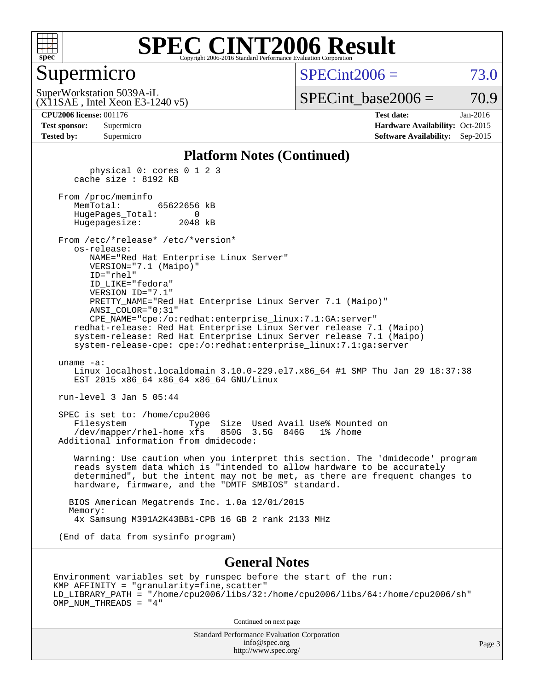

#### Supermicro

 $SPECint2006 = 73.0$  $SPECint2006 = 73.0$ 

(X11SAE , Intel Xeon E3-1240 v5) SuperWorkstation 5039A-iL

 $SPECTnt\_base2006 = 70.9$ 

| <b>Test sponsor:</b> | Supermicro |
|----------------------|------------|
| <b>Tested by:</b>    | Supermicro |

**[CPU2006 license:](http://www.spec.org/auto/cpu2006/Docs/result-fields.html#CPU2006license)** 001176 **[Test date:](http://www.spec.org/auto/cpu2006/Docs/result-fields.html#Testdate)** Jan-2016 **[Hardware Availability:](http://www.spec.org/auto/cpu2006/Docs/result-fields.html#HardwareAvailability)** Oct-2015 **[Software Availability:](http://www.spec.org/auto/cpu2006/Docs/result-fields.html#SoftwareAvailability)** Sep-2015

#### **[Platform Notes \(Continued\)](http://www.spec.org/auto/cpu2006/Docs/result-fields.html#PlatformNotes)**

 physical 0: cores 0 1 2 3 cache size : 8192 KB From /proc/meminfo MemTotal: 65622656 kB HugePages\_Total: 0 Hugepagesize: 2048 kB From /etc/\*release\* /etc/\*version\* os-release: NAME="Red Hat Enterprise Linux Server" VERSION="7.1 (Maipo)" ID="rhel" ID\_LIKE="fedora" VERSION\_ID="7.1" PRETTY\_NAME="Red Hat Enterprise Linux Server 7.1 (Maipo)" ANSI\_COLOR="0;31" CPE\_NAME="cpe:/o:redhat:enterprise\_linux:7.1:GA:server" redhat-release: Red Hat Enterprise Linux Server release 7.1 (Maipo) system-release: Red Hat Enterprise Linux Server release 7.1 (Maipo) system-release-cpe: cpe:/o:redhat:enterprise\_linux:7.1:ga:server uname -a: Linux localhost.localdomain 3.10.0-229.el7.x86\_64 #1 SMP Thu Jan 29 18:37:38 EST 2015 x86 64 x86 64 x86 64 GNU/Linux run-level 3 Jan 5 05:44 SPEC is set to: /home/cpu2006 Filesystem Type Size Used Avail Use% Mounted on /dev/mapper/rhel-home xfs 850G 3.5G 846G 1% /home Additional information from dmidecode: Warning: Use caution when you interpret this section. The 'dmidecode' program reads system data which is "intended to allow hardware to be accurately determined", but the intent may not be met, as there are frequent changes to hardware, firmware, and the "DMTF SMBIOS" standard. BIOS American Megatrends Inc. 1.0a 12/01/2015 Memory: 4x Samsung M391A2K43BB1-CPB 16 GB 2 rank 2133 MHz (End of data from sysinfo program)

#### **[General Notes](http://www.spec.org/auto/cpu2006/Docs/result-fields.html#GeneralNotes)**

Environment variables set by runspec before the start of the run: KMP\_AFFINITY = "granularity=fine,scatter" LD\_LIBRARY\_PATH = "/home/cpu2006/libs/32:/home/cpu2006/libs/64:/home/cpu2006/sh" OMP\_NUM\_THREADS = "4"

Continued on next page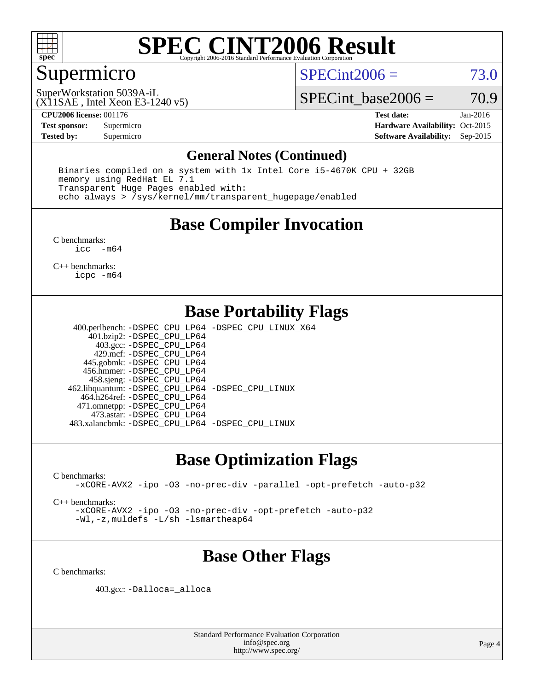

### Supermicro

 $SPECint2006 = 73.0$  $SPECint2006 = 73.0$ 

(X11SAE , Intel Xeon E3-1240 v5) SuperWorkstation 5039A-iL

SPECint base2006 =  $70.9$ 

**[CPU2006 license:](http://www.spec.org/auto/cpu2006/Docs/result-fields.html#CPU2006license)** 001176 **[Test date:](http://www.spec.org/auto/cpu2006/Docs/result-fields.html#Testdate)** Jan-2016 **[Test sponsor:](http://www.spec.org/auto/cpu2006/Docs/result-fields.html#Testsponsor)** Supermicro Supermicro **[Hardware Availability:](http://www.spec.org/auto/cpu2006/Docs/result-fields.html#HardwareAvailability)** Oct-2015 **[Tested by:](http://www.spec.org/auto/cpu2006/Docs/result-fields.html#Testedby)** Supermicro **Supermicro [Software Availability:](http://www.spec.org/auto/cpu2006/Docs/result-fields.html#SoftwareAvailability)** Sep-2015

#### **[General Notes \(Continued\)](http://www.spec.org/auto/cpu2006/Docs/result-fields.html#GeneralNotes)**

 Binaries compiled on a system with 1x Intel Core i5-4670K CPU + 32GB memory using RedHat EL 7.1 Transparent Huge Pages enabled with: echo always > /sys/kernel/mm/transparent\_hugepage/enabled

### **[Base Compiler Invocation](http://www.spec.org/auto/cpu2006/Docs/result-fields.html#BaseCompilerInvocation)**

[C benchmarks](http://www.spec.org/auto/cpu2006/Docs/result-fields.html#Cbenchmarks): [icc -m64](http://www.spec.org/cpu2006/results/res2016q1/cpu2006-20160106-38589.flags.html#user_CCbase_intel_icc_64bit_f346026e86af2a669e726fe758c88044)

[C++ benchmarks:](http://www.spec.org/auto/cpu2006/Docs/result-fields.html#CXXbenchmarks) [icpc -m64](http://www.spec.org/cpu2006/results/res2016q1/cpu2006-20160106-38589.flags.html#user_CXXbase_intel_icpc_64bit_fc66a5337ce925472a5c54ad6a0de310)

### **[Base Portability Flags](http://www.spec.org/auto/cpu2006/Docs/result-fields.html#BasePortabilityFlags)**

 400.perlbench: [-DSPEC\\_CPU\\_LP64](http://www.spec.org/cpu2006/results/res2016q1/cpu2006-20160106-38589.flags.html#b400.perlbench_basePORTABILITY_DSPEC_CPU_LP64) [-DSPEC\\_CPU\\_LINUX\\_X64](http://www.spec.org/cpu2006/results/res2016q1/cpu2006-20160106-38589.flags.html#b400.perlbench_baseCPORTABILITY_DSPEC_CPU_LINUX_X64) 401.bzip2: [-DSPEC\\_CPU\\_LP64](http://www.spec.org/cpu2006/results/res2016q1/cpu2006-20160106-38589.flags.html#suite_basePORTABILITY401_bzip2_DSPEC_CPU_LP64) 403.gcc: [-DSPEC\\_CPU\\_LP64](http://www.spec.org/cpu2006/results/res2016q1/cpu2006-20160106-38589.flags.html#suite_basePORTABILITY403_gcc_DSPEC_CPU_LP64) 429.mcf: [-DSPEC\\_CPU\\_LP64](http://www.spec.org/cpu2006/results/res2016q1/cpu2006-20160106-38589.flags.html#suite_basePORTABILITY429_mcf_DSPEC_CPU_LP64) 445.gobmk: [-DSPEC\\_CPU\\_LP64](http://www.spec.org/cpu2006/results/res2016q1/cpu2006-20160106-38589.flags.html#suite_basePORTABILITY445_gobmk_DSPEC_CPU_LP64) 456.hmmer: [-DSPEC\\_CPU\\_LP64](http://www.spec.org/cpu2006/results/res2016q1/cpu2006-20160106-38589.flags.html#suite_basePORTABILITY456_hmmer_DSPEC_CPU_LP64) 458.sjeng: [-DSPEC\\_CPU\\_LP64](http://www.spec.org/cpu2006/results/res2016q1/cpu2006-20160106-38589.flags.html#suite_basePORTABILITY458_sjeng_DSPEC_CPU_LP64) 462.libquantum: [-DSPEC\\_CPU\\_LP64](http://www.spec.org/cpu2006/results/res2016q1/cpu2006-20160106-38589.flags.html#suite_basePORTABILITY462_libquantum_DSPEC_CPU_LP64) [-DSPEC\\_CPU\\_LINUX](http://www.spec.org/cpu2006/results/res2016q1/cpu2006-20160106-38589.flags.html#b462.libquantum_baseCPORTABILITY_DSPEC_CPU_LINUX) 464.h264ref: [-DSPEC\\_CPU\\_LP64](http://www.spec.org/cpu2006/results/res2016q1/cpu2006-20160106-38589.flags.html#suite_basePORTABILITY464_h264ref_DSPEC_CPU_LP64) 471.omnetpp: [-DSPEC\\_CPU\\_LP64](http://www.spec.org/cpu2006/results/res2016q1/cpu2006-20160106-38589.flags.html#suite_basePORTABILITY471_omnetpp_DSPEC_CPU_LP64) 473.astar: [-DSPEC\\_CPU\\_LP64](http://www.spec.org/cpu2006/results/res2016q1/cpu2006-20160106-38589.flags.html#suite_basePORTABILITY473_astar_DSPEC_CPU_LP64) 483.xalancbmk: [-DSPEC\\_CPU\\_LP64](http://www.spec.org/cpu2006/results/res2016q1/cpu2006-20160106-38589.flags.html#suite_basePORTABILITY483_xalancbmk_DSPEC_CPU_LP64) [-DSPEC\\_CPU\\_LINUX](http://www.spec.org/cpu2006/results/res2016q1/cpu2006-20160106-38589.flags.html#b483.xalancbmk_baseCXXPORTABILITY_DSPEC_CPU_LINUX)

#### **[Base Optimization Flags](http://www.spec.org/auto/cpu2006/Docs/result-fields.html#BaseOptimizationFlags)**

[C benchmarks](http://www.spec.org/auto/cpu2006/Docs/result-fields.html#Cbenchmarks):

[-xCORE-AVX2](http://www.spec.org/cpu2006/results/res2016q1/cpu2006-20160106-38589.flags.html#user_CCbase_f-xAVX2_5f5fc0cbe2c9f62c816d3e45806c70d7) [-ipo](http://www.spec.org/cpu2006/results/res2016q1/cpu2006-20160106-38589.flags.html#user_CCbase_f-ipo) [-O3](http://www.spec.org/cpu2006/results/res2016q1/cpu2006-20160106-38589.flags.html#user_CCbase_f-O3) [-no-prec-div](http://www.spec.org/cpu2006/results/res2016q1/cpu2006-20160106-38589.flags.html#user_CCbase_f-no-prec-div) [-parallel](http://www.spec.org/cpu2006/results/res2016q1/cpu2006-20160106-38589.flags.html#user_CCbase_f-parallel) [-opt-prefetch](http://www.spec.org/cpu2006/results/res2016q1/cpu2006-20160106-38589.flags.html#user_CCbase_f-opt-prefetch) [-auto-p32](http://www.spec.org/cpu2006/results/res2016q1/cpu2006-20160106-38589.flags.html#user_CCbase_f-auto-p32)

[C++ benchmarks:](http://www.spec.org/auto/cpu2006/Docs/result-fields.html#CXXbenchmarks)

[-xCORE-AVX2](http://www.spec.org/cpu2006/results/res2016q1/cpu2006-20160106-38589.flags.html#user_CXXbase_f-xAVX2_5f5fc0cbe2c9f62c816d3e45806c70d7) [-ipo](http://www.spec.org/cpu2006/results/res2016q1/cpu2006-20160106-38589.flags.html#user_CXXbase_f-ipo) [-O3](http://www.spec.org/cpu2006/results/res2016q1/cpu2006-20160106-38589.flags.html#user_CXXbase_f-O3) [-no-prec-div](http://www.spec.org/cpu2006/results/res2016q1/cpu2006-20160106-38589.flags.html#user_CXXbase_f-no-prec-div) [-opt-prefetch](http://www.spec.org/cpu2006/results/res2016q1/cpu2006-20160106-38589.flags.html#user_CXXbase_f-opt-prefetch) [-auto-p32](http://www.spec.org/cpu2006/results/res2016q1/cpu2006-20160106-38589.flags.html#user_CXXbase_f-auto-p32) [-Wl,-z,muldefs](http://www.spec.org/cpu2006/results/res2016q1/cpu2006-20160106-38589.flags.html#user_CXXbase_link_force_multiple1_74079c344b956b9658436fd1b6dd3a8a) [-L/sh -lsmartheap64](http://www.spec.org/cpu2006/results/res2016q1/cpu2006-20160106-38589.flags.html#user_CXXbase_SmartHeap64_ed4ef857ce90951921efb0d91eb88472)

## **[Base Other Flags](http://www.spec.org/auto/cpu2006/Docs/result-fields.html#BaseOtherFlags)**

[C benchmarks](http://www.spec.org/auto/cpu2006/Docs/result-fields.html#Cbenchmarks):

403.gcc: [-Dalloca=\\_alloca](http://www.spec.org/cpu2006/results/res2016q1/cpu2006-20160106-38589.flags.html#b403.gcc_baseEXTRA_CFLAGS_Dalloca_be3056838c12de2578596ca5467af7f3)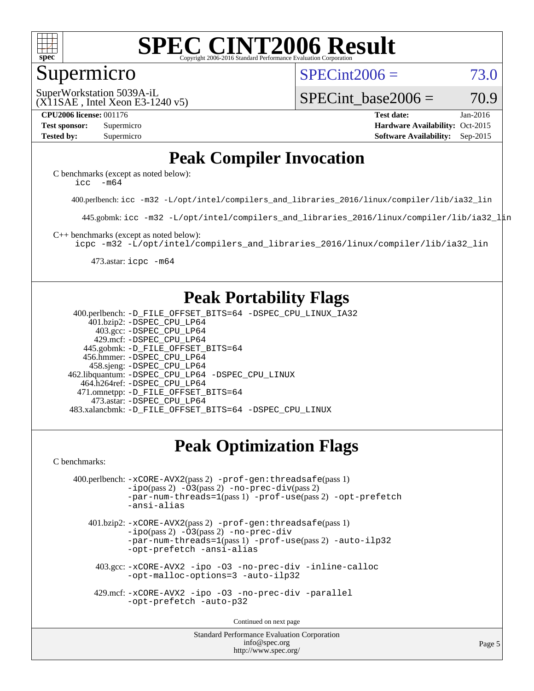

#### Supermicro

 $SPECint2006 = 73.0$  $SPECint2006 = 73.0$ 

(X11SAE , Intel Xeon E3-1240 v5) SuperWorkstation 5039A-iL

SPECint base2006 =  $70.9$ 

**[CPU2006 license:](http://www.spec.org/auto/cpu2006/Docs/result-fields.html#CPU2006license)** 001176 **[Test date:](http://www.spec.org/auto/cpu2006/Docs/result-fields.html#Testdate)** Jan-2016 **[Test sponsor:](http://www.spec.org/auto/cpu2006/Docs/result-fields.html#Testsponsor)** Supermicro Supermicro **[Hardware Availability:](http://www.spec.org/auto/cpu2006/Docs/result-fields.html#HardwareAvailability)** Oct-2015 **[Tested by:](http://www.spec.org/auto/cpu2006/Docs/result-fields.html#Testedby)** Supermicro **Supermicro [Software Availability:](http://www.spec.org/auto/cpu2006/Docs/result-fields.html#SoftwareAvailability)** Sep-2015

### **[Peak Compiler Invocation](http://www.spec.org/auto/cpu2006/Docs/result-fields.html#PeakCompilerInvocation)**

[C benchmarks \(except as noted below\)](http://www.spec.org/auto/cpu2006/Docs/result-fields.html#Cbenchmarksexceptasnotedbelow): icc  $-m64$ 

400.perlbench: [icc -m32 -L/opt/intel/compilers\\_and\\_libraries\\_2016/linux/compiler/lib/ia32\\_lin](http://www.spec.org/cpu2006/results/res2016q1/cpu2006-20160106-38589.flags.html#user_peakCCLD400_perlbench_intel_icc_e10256ba5924b668798078a321b0cb3f)

445.gobmk: [icc -m32 -L/opt/intel/compilers\\_and\\_libraries\\_2016/linux/compiler/lib/ia32\\_lin](http://www.spec.org/cpu2006/results/res2016q1/cpu2006-20160106-38589.flags.html#user_peakCCLD445_gobmk_intel_icc_e10256ba5924b668798078a321b0cb3f)

[C++ benchmarks \(except as noted below\):](http://www.spec.org/auto/cpu2006/Docs/result-fields.html#CXXbenchmarksexceptasnotedbelow)

[icpc -m32 -L/opt/intel/compilers\\_and\\_libraries\\_2016/linux/compiler/lib/ia32\\_lin](http://www.spec.org/cpu2006/results/res2016q1/cpu2006-20160106-38589.flags.html#user_CXXpeak_intel_icpc_b4f50a394bdb4597aa5879c16bc3f5c5)

473.astar: [icpc -m64](http://www.spec.org/cpu2006/results/res2016q1/cpu2006-20160106-38589.flags.html#user_peakCXXLD473_astar_intel_icpc_64bit_fc66a5337ce925472a5c54ad6a0de310)

### **[Peak Portability Flags](http://www.spec.org/auto/cpu2006/Docs/result-fields.html#PeakPortabilityFlags)**

 400.perlbench: [-D\\_FILE\\_OFFSET\\_BITS=64](http://www.spec.org/cpu2006/results/res2016q1/cpu2006-20160106-38589.flags.html#user_peakPORTABILITY400_perlbench_file_offset_bits_64_438cf9856305ebd76870a2c6dc2689ab) [-DSPEC\\_CPU\\_LINUX\\_IA32](http://www.spec.org/cpu2006/results/res2016q1/cpu2006-20160106-38589.flags.html#b400.perlbench_peakCPORTABILITY_DSPEC_CPU_LINUX_IA32) 401.bzip2: [-DSPEC\\_CPU\\_LP64](http://www.spec.org/cpu2006/results/res2016q1/cpu2006-20160106-38589.flags.html#suite_peakPORTABILITY401_bzip2_DSPEC_CPU_LP64) 403.gcc: [-DSPEC\\_CPU\\_LP64](http://www.spec.org/cpu2006/results/res2016q1/cpu2006-20160106-38589.flags.html#suite_peakPORTABILITY403_gcc_DSPEC_CPU_LP64) 429.mcf: [-DSPEC\\_CPU\\_LP64](http://www.spec.org/cpu2006/results/res2016q1/cpu2006-20160106-38589.flags.html#suite_peakPORTABILITY429_mcf_DSPEC_CPU_LP64) 445.gobmk: [-D\\_FILE\\_OFFSET\\_BITS=64](http://www.spec.org/cpu2006/results/res2016q1/cpu2006-20160106-38589.flags.html#user_peakPORTABILITY445_gobmk_file_offset_bits_64_438cf9856305ebd76870a2c6dc2689ab) 456.hmmer: [-DSPEC\\_CPU\\_LP64](http://www.spec.org/cpu2006/results/res2016q1/cpu2006-20160106-38589.flags.html#suite_peakPORTABILITY456_hmmer_DSPEC_CPU_LP64) 458.sjeng: [-DSPEC\\_CPU\\_LP64](http://www.spec.org/cpu2006/results/res2016q1/cpu2006-20160106-38589.flags.html#suite_peakPORTABILITY458_sjeng_DSPEC_CPU_LP64) 462.libquantum: [-DSPEC\\_CPU\\_LP64](http://www.spec.org/cpu2006/results/res2016q1/cpu2006-20160106-38589.flags.html#suite_peakPORTABILITY462_libquantum_DSPEC_CPU_LP64) [-DSPEC\\_CPU\\_LINUX](http://www.spec.org/cpu2006/results/res2016q1/cpu2006-20160106-38589.flags.html#b462.libquantum_peakCPORTABILITY_DSPEC_CPU_LINUX) 464.h264ref: [-DSPEC\\_CPU\\_LP64](http://www.spec.org/cpu2006/results/res2016q1/cpu2006-20160106-38589.flags.html#suite_peakPORTABILITY464_h264ref_DSPEC_CPU_LP64) 471.omnetpp: [-D\\_FILE\\_OFFSET\\_BITS=64](http://www.spec.org/cpu2006/results/res2016q1/cpu2006-20160106-38589.flags.html#user_peakPORTABILITY471_omnetpp_file_offset_bits_64_438cf9856305ebd76870a2c6dc2689ab) 473.astar: [-DSPEC\\_CPU\\_LP64](http://www.spec.org/cpu2006/results/res2016q1/cpu2006-20160106-38589.flags.html#suite_peakPORTABILITY473_astar_DSPEC_CPU_LP64) 483.xalancbmk: [-D\\_FILE\\_OFFSET\\_BITS=64](http://www.spec.org/cpu2006/results/res2016q1/cpu2006-20160106-38589.flags.html#user_peakPORTABILITY483_xalancbmk_file_offset_bits_64_438cf9856305ebd76870a2c6dc2689ab) [-DSPEC\\_CPU\\_LINUX](http://www.spec.org/cpu2006/results/res2016q1/cpu2006-20160106-38589.flags.html#b483.xalancbmk_peakCXXPORTABILITY_DSPEC_CPU_LINUX)

## **[Peak Optimization Flags](http://www.spec.org/auto/cpu2006/Docs/result-fields.html#PeakOptimizationFlags)**

[C benchmarks](http://www.spec.org/auto/cpu2006/Docs/result-fields.html#Cbenchmarks):

```
 400.perlbench: -xCORE-AVX2(pass 2) -prof-gen:threadsafe(pass 1)
-no-prec-div(pass 2)-par-num-threads=1(pass 1) -prof-use(pass 2) -opt-prefetch
-ansi-alias
```
 401.bzip2: [-xCORE-AVX2](http://www.spec.org/cpu2006/results/res2016q1/cpu2006-20160106-38589.flags.html#user_peakPASS2_CFLAGSPASS2_LDCFLAGS401_bzip2_f-xAVX2_5f5fc0cbe2c9f62c816d3e45806c70d7)(pass 2) [-prof-gen:threadsafe](http://www.spec.org/cpu2006/results/res2016q1/cpu2006-20160106-38589.flags.html#user_peakPASS1_CFLAGSPASS1_LDCFLAGS401_bzip2_prof_gen_21a26eb79f378b550acd7bec9fe4467a)(pass 1)  $-i\text{po}(pass 2) -03(pass 2) -no-prec-div$  $-i\text{po}(pass 2) -03(pass 2) -no-prec-div$ [-par-num-threads=1](http://www.spec.org/cpu2006/results/res2016q1/cpu2006-20160106-38589.flags.html#user_peakPASS1_CFLAGSPASS1_LDCFLAGS401_bzip2_par_num_threads_786a6ff141b4e9e90432e998842df6c2)(pass 1) [-prof-use](http://www.spec.org/cpu2006/results/res2016q1/cpu2006-20160106-38589.flags.html#user_peakPASS2_CFLAGSPASS2_LDCFLAGS401_bzip2_prof_use_bccf7792157ff70d64e32fe3e1250b55)(pass 2) [-auto-ilp32](http://www.spec.org/cpu2006/results/res2016q1/cpu2006-20160106-38589.flags.html#user_peakCOPTIMIZE401_bzip2_f-auto-ilp32) [-opt-prefetch](http://www.spec.org/cpu2006/results/res2016q1/cpu2006-20160106-38589.flags.html#user_peakCOPTIMIZE401_bzip2_f-opt-prefetch) [-ansi-alias](http://www.spec.org/cpu2006/results/res2016q1/cpu2006-20160106-38589.flags.html#user_peakCOPTIMIZE401_bzip2_f-ansi-alias)

 403.gcc: [-xCORE-AVX2](http://www.spec.org/cpu2006/results/res2016q1/cpu2006-20160106-38589.flags.html#user_peakCOPTIMIZE403_gcc_f-xAVX2_5f5fc0cbe2c9f62c816d3e45806c70d7) [-ipo](http://www.spec.org/cpu2006/results/res2016q1/cpu2006-20160106-38589.flags.html#user_peakCOPTIMIZE403_gcc_f-ipo) [-O3](http://www.spec.org/cpu2006/results/res2016q1/cpu2006-20160106-38589.flags.html#user_peakCOPTIMIZE403_gcc_f-O3) [-no-prec-div](http://www.spec.org/cpu2006/results/res2016q1/cpu2006-20160106-38589.flags.html#user_peakCOPTIMIZE403_gcc_f-no-prec-div) [-inline-calloc](http://www.spec.org/cpu2006/results/res2016q1/cpu2006-20160106-38589.flags.html#user_peakCOPTIMIZE403_gcc_f-inline-calloc) [-opt-malloc-options=3](http://www.spec.org/cpu2006/results/res2016q1/cpu2006-20160106-38589.flags.html#user_peakCOPTIMIZE403_gcc_f-opt-malloc-options_13ab9b803cf986b4ee62f0a5998c2238) [-auto-ilp32](http://www.spec.org/cpu2006/results/res2016q1/cpu2006-20160106-38589.flags.html#user_peakCOPTIMIZE403_gcc_f-auto-ilp32)

 429.mcf: [-xCORE-AVX2](http://www.spec.org/cpu2006/results/res2016q1/cpu2006-20160106-38589.flags.html#user_peakCOPTIMIZE429_mcf_f-xAVX2_5f5fc0cbe2c9f62c816d3e45806c70d7) [-ipo](http://www.spec.org/cpu2006/results/res2016q1/cpu2006-20160106-38589.flags.html#user_peakCOPTIMIZE429_mcf_f-ipo) [-O3](http://www.spec.org/cpu2006/results/res2016q1/cpu2006-20160106-38589.flags.html#user_peakCOPTIMIZE429_mcf_f-O3) [-no-prec-div](http://www.spec.org/cpu2006/results/res2016q1/cpu2006-20160106-38589.flags.html#user_peakCOPTIMIZE429_mcf_f-no-prec-div) [-parallel](http://www.spec.org/cpu2006/results/res2016q1/cpu2006-20160106-38589.flags.html#user_peakCOPTIMIZE429_mcf_f-parallel) [-opt-prefetch](http://www.spec.org/cpu2006/results/res2016q1/cpu2006-20160106-38589.flags.html#user_peakCOPTIMIZE429_mcf_f-opt-prefetch) [-auto-p32](http://www.spec.org/cpu2006/results/res2016q1/cpu2006-20160106-38589.flags.html#user_peakCOPTIMIZE429_mcf_f-auto-p32)

Continued on next page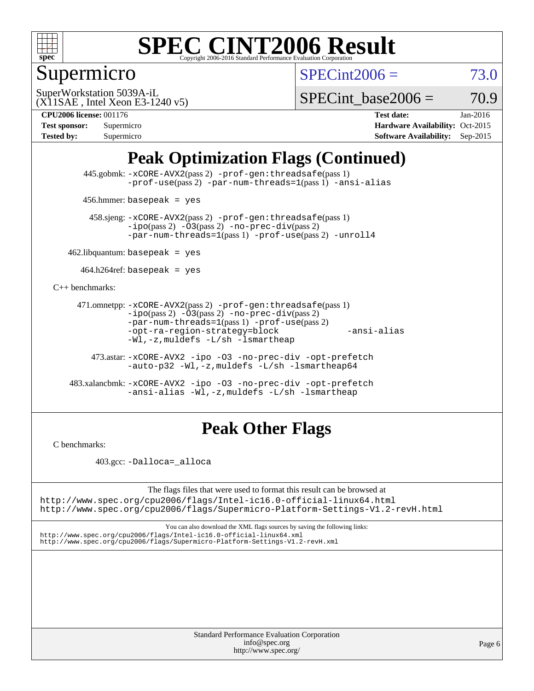

## Supermicro

 $SPECint2006 = 73.0$  $SPECint2006 = 73.0$ 

(X11SAE , Intel Xeon E3-1240 v5) SuperWorkstation 5039A-iL

SPECint base2006 =  $70.9$ 

**[CPU2006 license:](http://www.spec.org/auto/cpu2006/Docs/result-fields.html#CPU2006license)** 001176 **[Test date:](http://www.spec.org/auto/cpu2006/Docs/result-fields.html#Testdate)** Jan-2016

| Test sponsor:     | Supermicro |
|-------------------|------------|
| <b>Tested by:</b> | Supermicro |

**[Hardware Availability:](http://www.spec.org/auto/cpu2006/Docs/result-fields.html#HardwareAvailability)** Oct-2015 **[Software Availability:](http://www.spec.org/auto/cpu2006/Docs/result-fields.html#SoftwareAvailability)** Sep-2015

## **[Peak Optimization Flags \(Continued\)](http://www.spec.org/auto/cpu2006/Docs/result-fields.html#PeakOptimizationFlags)**

 445.gobmk: [-xCORE-AVX2](http://www.spec.org/cpu2006/results/res2016q1/cpu2006-20160106-38589.flags.html#user_peakPASS2_CFLAGSPASS2_LDCFLAGS445_gobmk_f-xAVX2_5f5fc0cbe2c9f62c816d3e45806c70d7)(pass 2) [-prof-gen:threadsafe](http://www.spec.org/cpu2006/results/res2016q1/cpu2006-20160106-38589.flags.html#user_peakPASS1_CFLAGSPASS1_LDCFLAGS445_gobmk_prof_gen_21a26eb79f378b550acd7bec9fe4467a)(pass 1) [-prof-use](http://www.spec.org/cpu2006/results/res2016q1/cpu2006-20160106-38589.flags.html#user_peakPASS2_CFLAGSPASS2_LDCFLAGS445_gobmk_prof_use_bccf7792157ff70d64e32fe3e1250b55)(pass 2) [-par-num-threads=1](http://www.spec.org/cpu2006/results/res2016q1/cpu2006-20160106-38589.flags.html#user_peakPASS1_CFLAGSPASS1_LDCFLAGS445_gobmk_par_num_threads_786a6ff141b4e9e90432e998842df6c2)(pass 1) [-ansi-alias](http://www.spec.org/cpu2006/results/res2016q1/cpu2006-20160106-38589.flags.html#user_peakCOPTIMIZE445_gobmk_f-ansi-alias)

456.hmmer: basepeak = yes

 458.sjeng: [-xCORE-AVX2](http://www.spec.org/cpu2006/results/res2016q1/cpu2006-20160106-38589.flags.html#user_peakPASS2_CFLAGSPASS2_LDCFLAGS458_sjeng_f-xAVX2_5f5fc0cbe2c9f62c816d3e45806c70d7)(pass 2) [-prof-gen:threadsafe](http://www.spec.org/cpu2006/results/res2016q1/cpu2006-20160106-38589.flags.html#user_peakPASS1_CFLAGSPASS1_LDCFLAGS458_sjeng_prof_gen_21a26eb79f378b550acd7bec9fe4467a)(pass 1)  $-ipo(pass 2) -\overline{03(pass 2)}$  $-ipo(pass 2) -\overline{03(pass 2)}$  [-no-prec-div](http://www.spec.org/cpu2006/results/res2016q1/cpu2006-20160106-38589.flags.html#user_peakPASS2_CFLAGSPASS2_LDCFLAGS458_sjeng_f-no-prec-div)(pass 2) [-par-num-threads=1](http://www.spec.org/cpu2006/results/res2016q1/cpu2006-20160106-38589.flags.html#user_peakPASS1_CFLAGSPASS1_LDCFLAGS458_sjeng_par_num_threads_786a6ff141b4e9e90432e998842df6c2)(pass 1) [-prof-use](http://www.spec.org/cpu2006/results/res2016q1/cpu2006-20160106-38589.flags.html#user_peakPASS2_CFLAGSPASS2_LDCFLAGS458_sjeng_prof_use_bccf7792157ff70d64e32fe3e1250b55)(pass 2) [-unroll4](http://www.spec.org/cpu2006/results/res2016q1/cpu2006-20160106-38589.flags.html#user_peakCOPTIMIZE458_sjeng_f-unroll_4e5e4ed65b7fd20bdcd365bec371b81f)

 $462$ .libquantum: basepeak = yes

 $464.h264$ ref: basepeak = yes

[C++ benchmarks:](http://www.spec.org/auto/cpu2006/Docs/result-fields.html#CXXbenchmarks)

```
 471.omnetpp: -xCORE-AVX2(pass 2) -prof-gen:threadsafe(pass 1)
-i\text{po}(pass 2) -03(pass 2) -no-prec-div(pass 2)-par-num-threads=1(pass 1) -prof-use(pass 2)
-opt-ra-region-strategy=block -ansi-alias
-Wl,-z,muldefs -L/sh -lsmartheap
```
 473.astar: [-xCORE-AVX2](http://www.spec.org/cpu2006/results/res2016q1/cpu2006-20160106-38589.flags.html#user_peakCXXOPTIMIZE473_astar_f-xAVX2_5f5fc0cbe2c9f62c816d3e45806c70d7) [-ipo](http://www.spec.org/cpu2006/results/res2016q1/cpu2006-20160106-38589.flags.html#user_peakCXXOPTIMIZE473_astar_f-ipo) [-O3](http://www.spec.org/cpu2006/results/res2016q1/cpu2006-20160106-38589.flags.html#user_peakCXXOPTIMIZE473_astar_f-O3) [-no-prec-div](http://www.spec.org/cpu2006/results/res2016q1/cpu2006-20160106-38589.flags.html#user_peakCXXOPTIMIZE473_astar_f-no-prec-div) [-opt-prefetch](http://www.spec.org/cpu2006/results/res2016q1/cpu2006-20160106-38589.flags.html#user_peakCXXOPTIMIZE473_astar_f-opt-prefetch) [-auto-p32](http://www.spec.org/cpu2006/results/res2016q1/cpu2006-20160106-38589.flags.html#user_peakCXXOPTIMIZE473_astar_f-auto-p32) [-Wl,-z,muldefs](http://www.spec.org/cpu2006/results/res2016q1/cpu2006-20160106-38589.flags.html#user_peakEXTRA_LDFLAGS473_astar_link_force_multiple1_74079c344b956b9658436fd1b6dd3a8a) [-L/sh -lsmartheap64](http://www.spec.org/cpu2006/results/res2016q1/cpu2006-20160106-38589.flags.html#user_peakEXTRA_LIBS473_astar_SmartHeap64_ed4ef857ce90951921efb0d91eb88472)

 483.xalancbmk: [-xCORE-AVX2](http://www.spec.org/cpu2006/results/res2016q1/cpu2006-20160106-38589.flags.html#user_peakCXXOPTIMIZE483_xalancbmk_f-xAVX2_5f5fc0cbe2c9f62c816d3e45806c70d7) [-ipo](http://www.spec.org/cpu2006/results/res2016q1/cpu2006-20160106-38589.flags.html#user_peakCXXOPTIMIZE483_xalancbmk_f-ipo) [-O3](http://www.spec.org/cpu2006/results/res2016q1/cpu2006-20160106-38589.flags.html#user_peakCXXOPTIMIZE483_xalancbmk_f-O3) [-no-prec-div](http://www.spec.org/cpu2006/results/res2016q1/cpu2006-20160106-38589.flags.html#user_peakCXXOPTIMIZE483_xalancbmk_f-no-prec-div) [-opt-prefetch](http://www.spec.org/cpu2006/results/res2016q1/cpu2006-20160106-38589.flags.html#user_peakCXXOPTIMIZE483_xalancbmk_f-opt-prefetch) [-ansi-alias](http://www.spec.org/cpu2006/results/res2016q1/cpu2006-20160106-38589.flags.html#user_peakCXXOPTIMIZE483_xalancbmk_f-ansi-alias) [-Wl,-z,muldefs](http://www.spec.org/cpu2006/results/res2016q1/cpu2006-20160106-38589.flags.html#user_peakEXTRA_LDFLAGS483_xalancbmk_link_force_multiple1_74079c344b956b9658436fd1b6dd3a8a) [-L/sh -lsmartheap](http://www.spec.org/cpu2006/results/res2016q1/cpu2006-20160106-38589.flags.html#user_peakEXTRA_LIBS483_xalancbmk_SmartHeap_32f6c82aa1ed9c52345d30cf6e4a0499)

#### **[Peak Other Flags](http://www.spec.org/auto/cpu2006/Docs/result-fields.html#PeakOtherFlags)**

[C benchmarks](http://www.spec.org/auto/cpu2006/Docs/result-fields.html#Cbenchmarks):

403.gcc: [-Dalloca=\\_alloca](http://www.spec.org/cpu2006/results/res2016q1/cpu2006-20160106-38589.flags.html#b403.gcc_peakEXTRA_CFLAGS_Dalloca_be3056838c12de2578596ca5467af7f3)

The flags files that were used to format this result can be browsed at <http://www.spec.org/cpu2006/flags/Intel-ic16.0-official-linux64.html>

<http://www.spec.org/cpu2006/flags/Supermicro-Platform-Settings-V1.2-revH.html>

You can also download the XML flags sources by saving the following links: <http://www.spec.org/cpu2006/flags/Intel-ic16.0-official-linux64.xml> <http://www.spec.org/cpu2006/flags/Supermicro-Platform-Settings-V1.2-revH.xml>